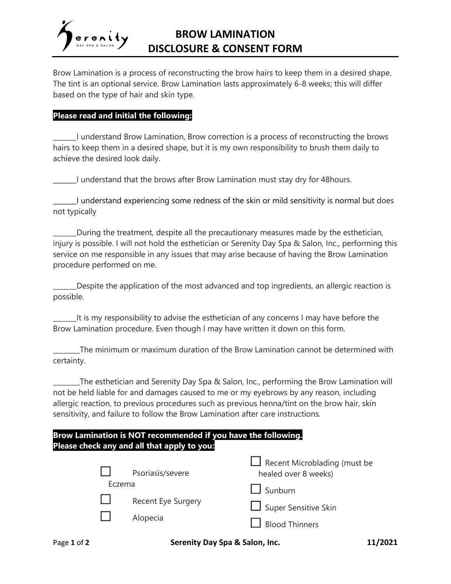

Brow Lamination is a process of reconstructing the brow hairs to keep them in a desired shape. The tint is an optional service. Brow Lamination lasts approximately 6-8 weeks; this will differ based on the type of hair and skin type.

### **Please read and initial the following:**

\_\_\_\_\_\_\_I understand Brow Lamination, Brow correction is a process of reconstructing the brows hairs to keep them in a desired shape, but it is my own responsibility to brush them daily to achieve the desired look daily.

\_\_\_\_\_\_\_I understand that the brows after Brow Lamination must stay dry for 48hours.

\_\_\_\_\_\_\_I understand experiencing some redness of the skin or mild sensitivity is normal but does not typically

\_\_\_\_\_\_\_During the treatment, despite all the precautionary measures made by the esthetician, injury is possible. I will not hold the esthetician or Serenity Day Spa & Salon, Inc., performing this service on me responsible in any issues that may arise because of having the Brow Lamination procedure performed on me.

Despite the application of the most advanced and top ingredients, an allergic reaction is possible.

\_\_\_\_\_\_\_It is my responsibility to advise the esthetician of any concerns I may have before the Brow Lamination procedure. Even though I may have written it down on this form.

The minimum or maximum duration of the Brow Lamination cannot be determined with certainty.

The esthetician and Serenity Day Spa & Salon, Inc., performing the Brow Lamination will not be held liable for and damages caused to me or my eyebrows by any reason, including allergic reaction, to previous procedures such as previous henna/tint on the brow hair, skin sensitivity, and failure to follow the Brow Lamination after care instructions.

## **Brow Lamination is NOT recommended if you have the following. Please check any and all that apply to you:**

| $\mathbf{1}$<br>Eczema | Psoriasis/severe               | $\Box$ Recent Microblading (must be<br>healed over 8 weeks)<br>$\Box$ Sunburn |
|------------------------|--------------------------------|-------------------------------------------------------------------------------|
|                        | Recent Eye Surgery<br>Alopecia | Super Sensitive Skin<br><b>Blood Thinners</b>                                 |

Page **1** of **2 Serenity Day Spa & Salon, Inc. 11/2021**